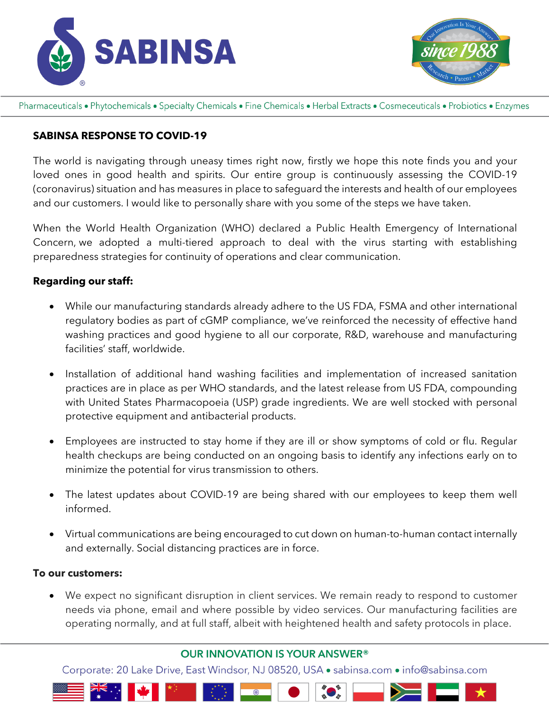



Pharmaceuticals • Phytochemicals • Specialty Chemicals • Fine Chemicals • Herbal Extracts • Cosmeceuticals • Probiotics • Enzymes

### **SABINSA RESPONSE TO COVID-19**

The world is navigating through uneasy times right now, firstly we hope this note finds you and your loved ones in good health and spirits. Our entire group is continuously assessing the COVID-19 (coronavirus) situation and has measures in place to safeguard the interests and health of our employees and our customers. I would like to personally share with you some of the steps we have taken.

When the World Health Organization (WHO) declared a Public Health Emergency of International Concern, we adopted a multi-tiered approach to deal with the virus starting with establishing preparedness strategies for continuity of operations and clear communication.

## **Regarding our staff:**

- While our manufacturing standards already adhere to the US FDA, FSMA and other international regulatory bodies as part of cGMP compliance, we've reinforced the necessity of effective hand washing practices and good hygiene to all our corporate, R&D, warehouse and manufacturing facilities' staff, worldwide.
- Installation of additional hand washing facilities and implementation of increased sanitation practices are in place as per WHO standards, and the latest release from US FDA, compounding with United States Pharmacopoeia (USP) grade ingredients. We are well stocked with personal protective equipment and antibacterial products.
- Employees are instructed to stay home if they are ill or show symptoms of cold or flu. Regular health checkups are being conducted on an ongoing basis to identify any infections early on to minimize the potential for virus transmission to others.
- The latest updates about COVID-19 are being shared with our employees to keep them well informed.
- Virtual communications are being encouraged to cut down on human-to-human contact internally and externally. Social distancing practices are in force.

### **To our customers:**

• We expect no significant disruption in client services. We remain ready to respond to customer needs via phone, email and where possible by video services. Our manufacturing facilities are operating normally, and at full staff, albeit with heightened health and safety protocols in place.

# **OUR INNOVATION IS YOUR ANSWER®**

Corporate: 20 Lake Drive, East Windsor, NJ 08520, USA • sabinsa.com • info@sabinsa.com